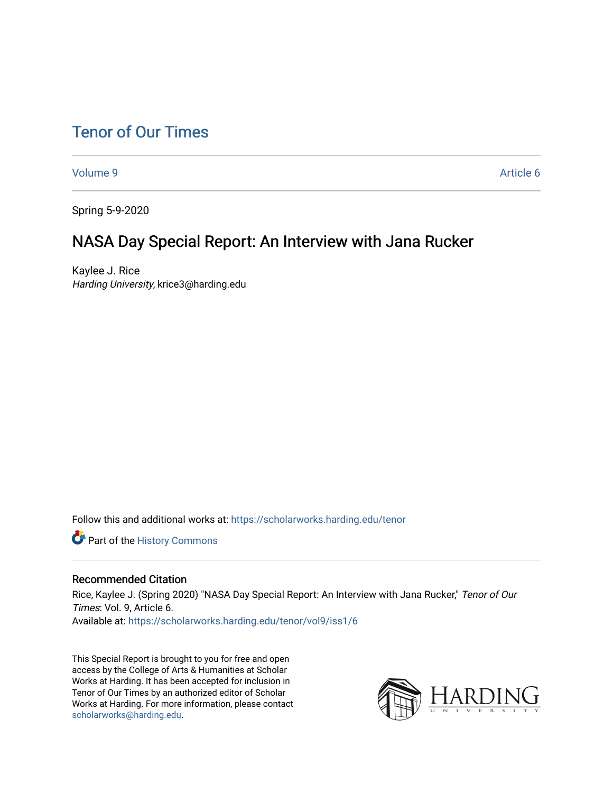# [Tenor of Our Times](https://scholarworks.harding.edu/tenor)

[Volume 9](https://scholarworks.harding.edu/tenor/vol9) [Article 6](https://scholarworks.harding.edu/tenor/vol9/iss1/6) 

Spring 5-9-2020

# NASA Day Special Report: An Interview with Jana Rucker

Kaylee J. Rice Harding University, krice3@harding.edu

Follow this and additional works at: [https://scholarworks.harding.edu/tenor](https://scholarworks.harding.edu/tenor?utm_source=scholarworks.harding.edu%2Ftenor%2Fvol9%2Fiss1%2F6&utm_medium=PDF&utm_campaign=PDFCoverPages)

Part of the [History Commons](http://network.bepress.com/hgg/discipline/489?utm_source=scholarworks.harding.edu%2Ftenor%2Fvol9%2Fiss1%2F6&utm_medium=PDF&utm_campaign=PDFCoverPages) 

#### Recommended Citation

Rice, Kaylee J. (Spring 2020) "NASA Day Special Report: An Interview with Jana Rucker," Tenor of Our Times: Vol. 9, Article 6. Available at: [https://scholarworks.harding.edu/tenor/vol9/iss1/6](https://scholarworks.harding.edu/tenor/vol9/iss1/6?utm_source=scholarworks.harding.edu%2Ftenor%2Fvol9%2Fiss1%2F6&utm_medium=PDF&utm_campaign=PDFCoverPages) 

This Special Report is brought to you for free and open access by the College of Arts & Humanities at Scholar Works at Harding. It has been accepted for inclusion in Tenor of Our Times by an authorized editor of Scholar Works at Harding. For more information, please contact [scholarworks@harding.edu](mailto:scholarworks@harding.edu).

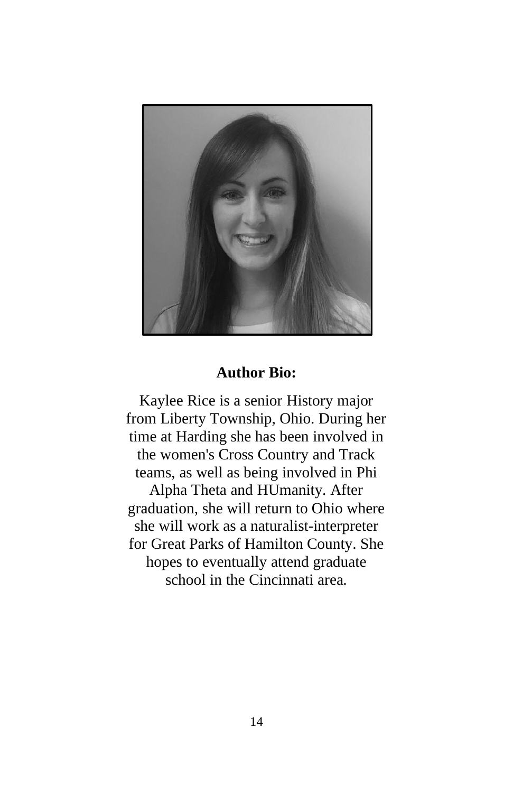

### **Author Bio:**

Kaylee Rice is a senior History major from Liberty Township, Ohio. During her time at Harding she has been involved in the women's Cross Country and Track teams, as well as being involved in Phi Alpha Theta and HUmanity. After graduation, she will return to Ohio where she will work as a naturalist-interpreter for Great Parks of Hamilton County. She hopes to eventually attend graduate school in the Cincinnati area.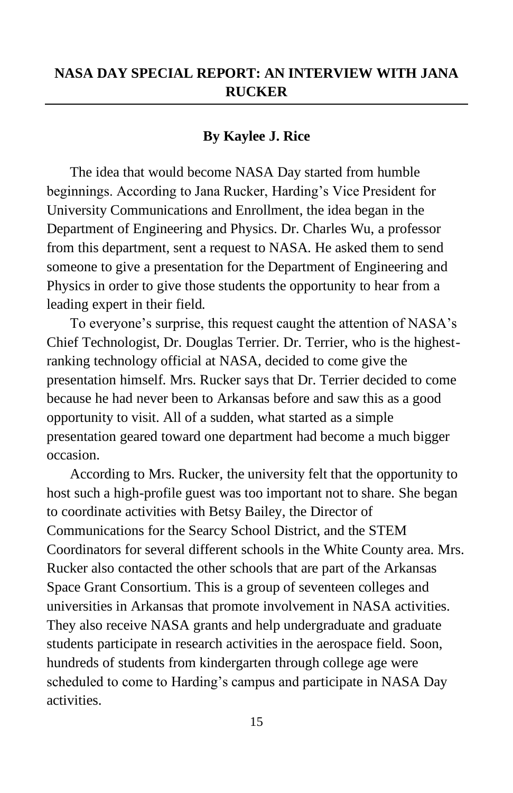## **NASA DAY SPECIAL REPORT: AN INTERVIEW WITH JANA RUCKER**

### **By Kaylee J. Rice**

The idea that would become NASA Day started from humble beginnings. According to Jana Rucker, Harding's Vice President for University Communications and Enrollment, the idea began in the Department of Engineering and Physics. Dr. Charles Wu, a professor from this department, sent a request to NASA. He asked them to send someone to give a presentation for the Department of Engineering and Physics in order to give those students the opportunity to hear from a leading expert in their field.

To everyone's surprise, this request caught the attention of NASA's Chief Technologist, Dr. Douglas Terrier. Dr. Terrier, who is the highestranking technology official at NASA, decided to come give the presentation himself. Mrs. Rucker says that Dr. Terrier decided to come because he had never been to Arkansas before and saw this as a good opportunity to visit. All of a sudden, what started as a simple presentation geared toward one department had become a much bigger occasion.

According to Mrs. Rucker, the university felt that the opportunity to host such a high-profile guest was too important not to share. She began to coordinate activities with Betsy Bailey, the Director of Communications for the Searcy School District, and the STEM Coordinators for several different schools in the White County area. Mrs. Rucker also contacted the other schools that are part of the Arkansas Space Grant Consortium. This is a group of seventeen colleges and universities in Arkansas that promote involvement in NASA activities. They also receive NASA grants and help undergraduate and graduate students participate in research activities in the aerospace field. Soon, hundreds of students from kindergarten through college age were scheduled to come to Harding's campus and participate in NASA Day activities.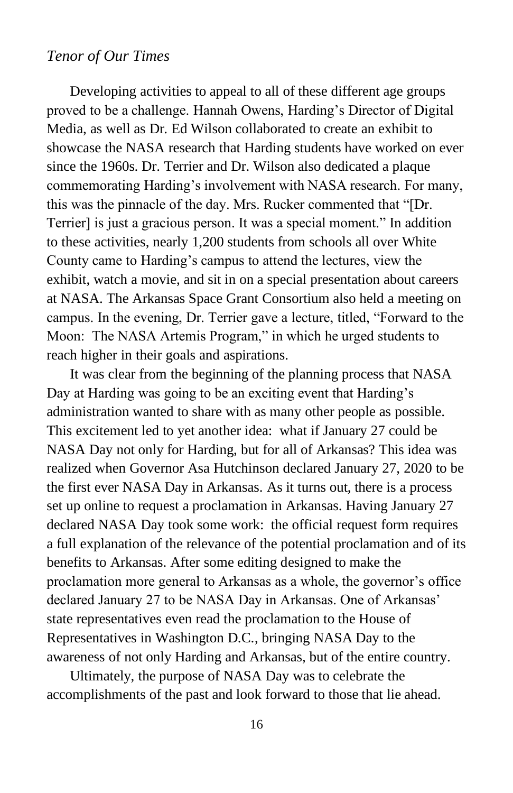### *Tenor of Our Times*

Developing activities to appeal to all of these different age groups proved to be a challenge. Hannah Owens, Harding's Director of Digital Media, as well as Dr. Ed Wilson collaborated to create an exhibit to showcase the NASA research that Harding students have worked on ever since the 1960s. Dr. Terrier and Dr. Wilson also dedicated a plaque commemorating Harding's involvement with NASA research. For many, this was the pinnacle of the day. Mrs. Rucker commented that "[Dr. Terrier] is just a gracious person. It was a special moment." In addition to these activities, nearly 1,200 students from schools all over White County came to Harding's campus to attend the lectures, view the exhibit, watch a movie, and sit in on a special presentation about careers at NASA. The Arkansas Space Grant Consortium also held a meeting on campus. In the evening, Dr. Terrier gave a lecture, titled, "Forward to the Moon: The NASA Artemis Program," in which he urged students to reach higher in their goals and aspirations.

It was clear from the beginning of the planning process that NASA Day at Harding was going to be an exciting event that Harding's administration wanted to share with as many other people as possible. This excitement led to yet another idea: what if January 27 could be NASA Day not only for Harding, but for all of Arkansas? This idea was realized when Governor Asa Hutchinson declared January 27, 2020 to be the first ever NASA Day in Arkansas. As it turns out, there is a process set up online to request a proclamation in Arkansas. Having January 27 declared NASA Day took some work: the official request form requires a full explanation of the relevance of the potential proclamation and of its benefits to Arkansas. After some editing designed to make the proclamation more general to Arkansas as a whole, the governor's office declared January 27 to be NASA Day in Arkansas. One of Arkansas' state representatives even read the proclamation to the House of Representatives in Washington D.C., bringing NASA Day to the awareness of not only Harding and Arkansas, but of the entire country.

Ultimately, the purpose of NASA Day was to celebrate the accomplishments of the past and look forward to those that lie ahead.